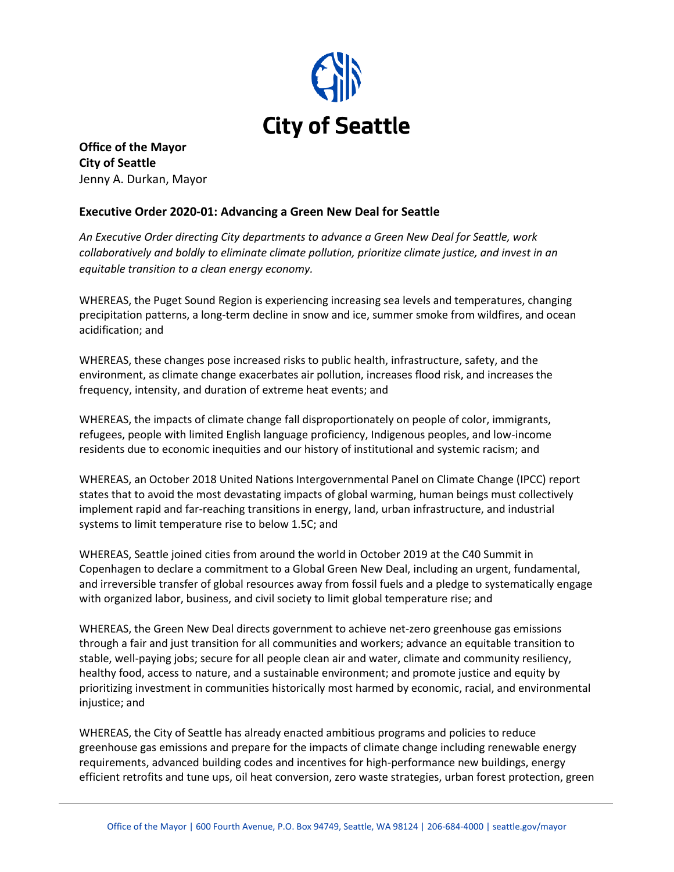

**Office of the Mayor City of Seattle** Jenny A. Durkan, Mayor

# **Executive Order 2020-01: Advancing a Green New Deal for Seattle**

*An Executive Order directing City departments to advance a Green New Deal for Seattle, work collaboratively and boldly to eliminate climate pollution, prioritize climate justice, and invest in an equitable transition to a clean energy economy.* 

WHEREAS, the Puget Sound Region is experiencing increasing sea levels and temperatures, changing precipitation patterns, a long-term decline in snow and ice, summer smoke from wildfires, and ocean acidification; and

WHEREAS, these changes pose increased risks to public health, infrastructure, safety, and the environment, as climate change exacerbates air pollution, increases flood risk, and increases the frequency, intensity, and duration of extreme heat events; and

WHEREAS, the impacts of climate change fall disproportionately on people of color, immigrants, refugees, people with limited English language proficiency, Indigenous peoples, and low-income residents due to economic inequities and our history of institutional and systemic racism; and

WHEREAS, an October 2018 United Nations Intergovernmental Panel on Climate Change (IPCC) report states that to avoid the most devastating impacts of global warming, human beings must collectively implement rapid and far-reaching transitions in energy, land, urban infrastructure, and industrial systems to limit temperature rise to below 1.5C; and

WHEREAS, Seattle joined cities from around the world in October 2019 at the C40 Summit in Copenhagen to declare a commitment to a Global Green New Deal, including an urgent, fundamental, and irreversible transfer of global resources away from fossil fuels and a pledge to systematically engage with organized labor, business, and civil society to limit global temperature rise; and

WHEREAS, the Green New Deal directs government to achieve net-zero greenhouse gas emissions through a fair and just transition for all communities and workers; advance an equitable transition to stable, well-paying jobs; secure for all people clean air and water, climate and community resiliency, healthy food, access to nature, and a sustainable environment; and promote justice and equity by prioritizing investment in communities historically most harmed by economic, racial, and environmental injustice; and

WHEREAS, the City of Seattle has already enacted ambitious programs and policies to reduce greenhouse gas emissions and prepare for the impacts of climate change including renewable energy requirements, advanced building codes and incentives for high-performance new buildings, energy efficient retrofits and tune ups, oil heat conversion, zero waste strategies, urban forest protection, green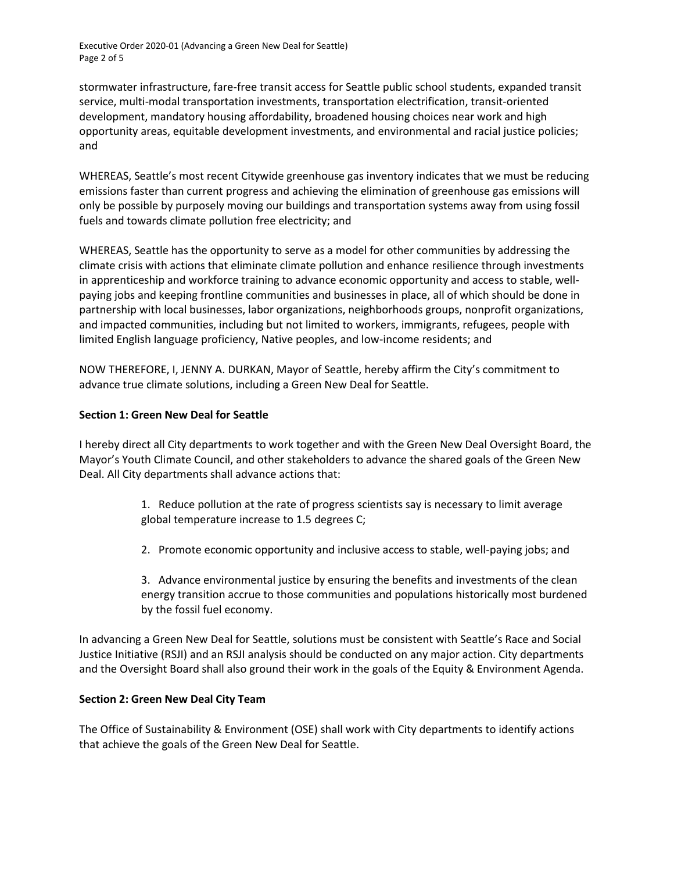Executive Order 2020-01 (Advancing a Green New Deal for Seattle) Page 2 of 5

stormwater infrastructure, fare-free transit access for Seattle public school students, expanded transit service, multi-modal transportation investments, transportation electrification, transit-oriented development, mandatory housing affordability, broadened housing choices near work and high opportunity areas, equitable development investments, and environmental and racial justice policies; and

WHEREAS, Seattle's most recent Citywide greenhouse gas inventory indicates that we must be reducing emissions faster than current progress and achieving the elimination of greenhouse gas emissions will only be possible by purposely moving our buildings and transportation systems away from using fossil fuels and towards climate pollution free electricity; and

WHEREAS, Seattle has the opportunity to serve as a model for other communities by addressing the climate crisis with actions that eliminate climate pollution and enhance resilience through investments in apprenticeship and workforce training to advance economic opportunity and access to stable, wellpaying jobs and keeping frontline communities and businesses in place, all of which should be done in partnership with local businesses, labor organizations, neighborhoods groups, nonprofit organizations, and impacted communities, including but not limited to workers, immigrants, refugees, people with limited English language proficiency, Native peoples, and low-income residents; and

NOW THEREFORE, I, JENNY A. DURKAN, Mayor of Seattle, hereby affirm the City's commitment to advance true climate solutions, including a Green New Deal for Seattle.

# **Section 1: Green New Deal for Seattle**

I hereby direct all City departments to work together and with the Green New Deal Oversight Board, the Mayor's Youth Climate Council, and other stakeholders to advance the shared goals of the Green New Deal. All City departments shall advance actions that:

- 1. Reduce pollution at the rate of progress scientists say is necessary to limit average global temperature increase to 1.5 degrees C;
- 2. Promote economic opportunity and inclusive access to stable, well-paying jobs; and

3. Advance environmental justice by ensuring the benefits and investments of the clean energy transition accrue to those communities and populations historically most burdened by the fossil fuel economy.

In advancing a Green New Deal for Seattle, solutions must be consistent with Seattle's Race and Social Justice Initiative (RSJI) and an RSJI analysis should be conducted on any major action. City departments and the Oversight Board shall also ground their work in the goals of the Equity & Environment Agenda.

# **Section 2: Green New Deal City Team**

The Office of Sustainability & Environment (OSE) shall work with City departments to identify actions that achieve the goals of the Green New Deal for Seattle.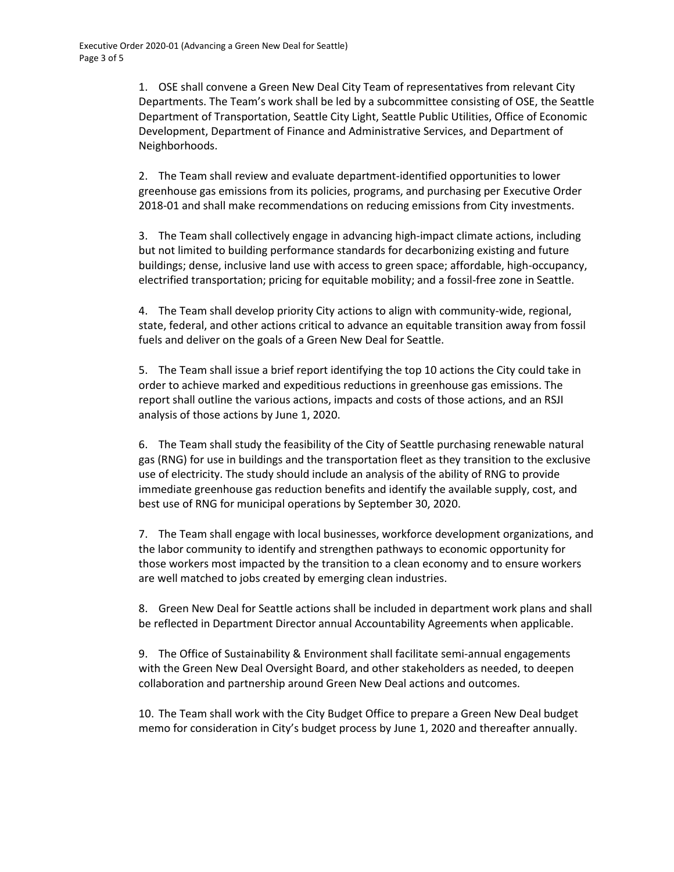1. OSE shall convene a Green New Deal City Team of representatives from relevant City Departments. The Team's work shall be led by a subcommittee consisting of OSE, the Seattle Department of Transportation, Seattle City Light, Seattle Public Utilities, Office of Economic Development, Department of Finance and Administrative Services, and Department of Neighborhoods.

2. The Team shall review and evaluate department-identified opportunities to lower greenhouse gas emissions from its policies, programs, and purchasing per Executive Order 2018-01 and shall make recommendations on reducing emissions from City investments.

3. The Team shall collectively engage in advancing high-impact climate actions, including but not limited to building performance standards for decarbonizing existing and future buildings; dense, inclusive land use with access to green space; affordable, high-occupancy, electrified transportation; pricing for equitable mobility; and a fossil-free zone in Seattle.

4. The Team shall develop priority City actions to align with community-wide, regional, state, federal, and other actions critical to advance an equitable transition away from fossil fuels and deliver on the goals of a Green New Deal for Seattle.

5. The Team shall issue a brief report identifying the top 10 actions the City could take in order to achieve marked and expeditious reductions in greenhouse gas emissions. The report shall outline the various actions, impacts and costs of those actions, and an RSJI analysis of those actions by June 1, 2020.

6. The Team shall study the feasibility of the City of Seattle purchasing renewable natural gas (RNG) for use in buildings and the transportation fleet as they transition to the exclusive use of electricity. The study should include an analysis of the ability of RNG to provide immediate greenhouse gas reduction benefits and identify the available supply, cost, and best use of RNG for municipal operations by September 30, 2020.

7. The Team shall engage with local businesses, workforce development organizations, and the labor community to identify and strengthen pathways to economic opportunity for those workers most impacted by the transition to a clean economy and to ensure workers are well matched to jobs created by emerging clean industries.

8. Green New Deal for Seattle actions shall be included in department work plans and shall be reflected in Department Director annual Accountability Agreements when applicable.

9. The Office of Sustainability & Environment shall facilitate semi-annual engagements with the Green New Deal Oversight Board, and other stakeholders as needed, to deepen collaboration and partnership around Green New Deal actions and outcomes.

10. The Team shall work with the City Budget Office to prepare a Green New Deal budget memo for consideration in City's budget process by June 1, 2020 and thereafter annually.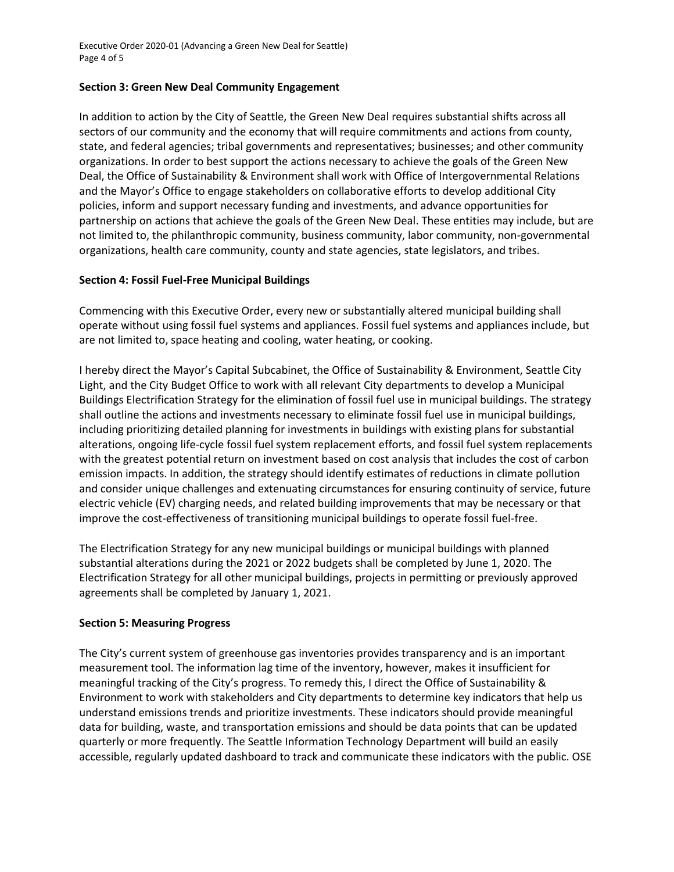Executive Order 2020-01 (Advancing a Green New Deal for Seattle) Page 4 of 5

## **Section 3: Green New Deal Community Engagement**

In addition to action by the City of Seattle, the Green New Deal requires substantial shifts across all sectors of our community and the economy that will require commitments and actions from county, state, and federal agencies; tribal governments and representatives; businesses; and other community organizations. In order to best support the actions necessary to achieve the goals of the Green New Deal, the Office of Sustainability & Environment shall work with Office of Intergovernmental Relations and the Mayor's Office to engage stakeholders on collaborative efforts to develop additional City policies, inform and support necessary funding and investments, and advance opportunities for partnership on actions that achieve the goals of the Green New Deal. These entities may include, but are not limited to, the philanthropic community, business community, labor community, non-governmental organizations, health care community, county and state agencies, state legislators, and tribes.

## **Section 4: Fossil Fuel-Free Municipal Buildings**

Commencing with this Executive Order, every new or substantially altered municipal building shall operate without using fossil fuel systems and appliances. Fossil fuel systems and appliances include, but are not limited to, space heating and cooling, water heating, or cooking.

I hereby direct the Mayor's Capital Subcabinet, the Office of Sustainability & Environment, Seattle City Light, and the City Budget Office to work with all relevant City departments to develop a Municipal Buildings Electrification Strategy for the elimination of fossil fuel use in municipal buildings. The strategy shall outline the actions and investments necessary to eliminate fossil fuel use in municipal buildings, including prioritizing detailed planning for investments in buildings with existing plans for substantial alterations, ongoing life-cycle fossil fuel system replacement efforts, and fossil fuel system replacements with the greatest potential return on investment based on cost analysis that includes the cost of carbon emission impacts. In addition, the strategy should identify estimates of reductions in climate pollution and consider unique challenges and extenuating circumstances for ensuring continuity of service, future electric vehicle (EV) charging needs, and related building improvements that may be necessary or that improve the cost-effectiveness of transitioning municipal buildings to operate fossil fuel-free.

The Electrification Strategy for any new municipal buildings or municipal buildings with planned substantial alterations during the 2021 or 2022 budgets shall be completed by June 1, 2020. The Electrification Strategy for all other municipal buildings, projects in permitting or previously approved agreements shall be completed by January 1, 2021.

#### **Section 5: Measuring Progress**

The City's current system of greenhouse gas inventories provides transparency and is an important measurement tool. The information lag time of the inventory, however, makes it insufficient for meaningful tracking of the City's progress. To remedy this, I direct the Office of Sustainability & Environment to work with stakeholders and City departments to determine key indicators that help us understand emissions trends and prioritize investments. These indicators should provide meaningful data for building, waste, and transportation emissions and should be data points that can be updated quarterly or more frequently. The Seattle Information Technology Department will build an easily accessible, regularly updated dashboard to track and communicate these indicators with the public. OSE